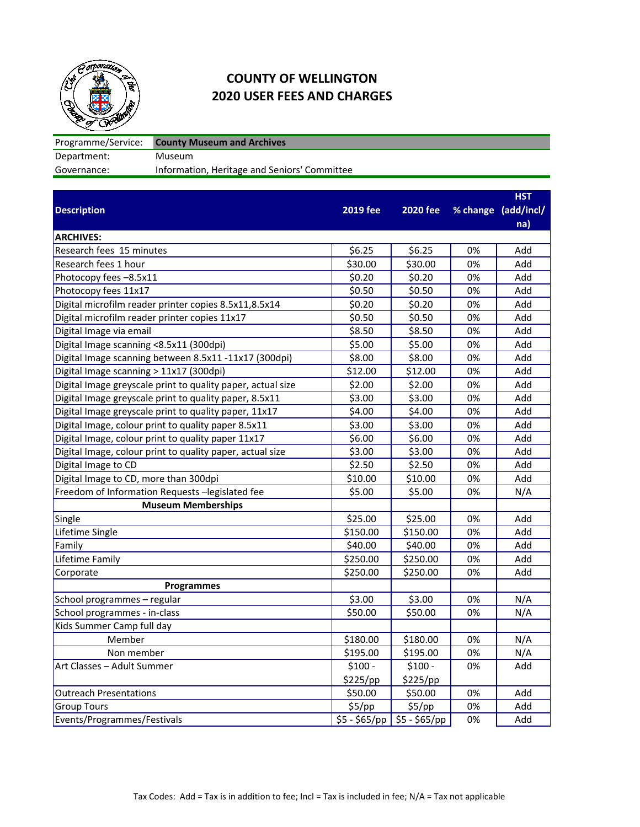

## **COUNTY OF WELLINGTON 2020 USER FEES AND CHARGES**

Programme/Service: Department: Museum<br>Governance: Informati Information, Heritage and Seniors' Committee **County Museum and Archives**

|                                                             |                 |                 |    | <b>HST</b>          |
|-------------------------------------------------------------|-----------------|-----------------|----|---------------------|
| <b>Description</b>                                          | <b>2019 fee</b> | <b>2020 fee</b> |    | % change (add/incl/ |
|                                                             |                 |                 |    | na)                 |
| <b>ARCHIVES:</b>                                            |                 |                 |    |                     |
| Research fees 15 minutes                                    | \$6.25          | \$6.25          | 0% | Add                 |
| Research fees 1 hour                                        | \$30.00         | \$30.00         | 0% | Add                 |
| Photocopy fees -8.5x11                                      | \$0.20          | \$0.20          | 0% | Add                 |
| Photocopy fees 11x17                                        | \$0.50          | \$0.50          | 0% | Add                 |
| Digital microfilm reader printer copies 8.5x11,8.5x14       | \$0.20          | \$0.20          | 0% | Add                 |
| Digital microfilm reader printer copies 11x17               | \$0.50          | \$0.50          | 0% | Add                 |
| Digital Image via email                                     | \$8.50          | \$8.50          | 0% | Add                 |
| Digital Image scanning <8.5x11 (300dpi)                     | \$5.00          | \$5.00          | 0% | Add                 |
| Digital Image scanning between 8.5x11 -11x17 (300dpi)       | \$8.00          | \$8.00          | 0% | Add                 |
| Digital Image scanning > 11x17 (300dpi)                     | \$12.00         | \$12.00         | 0% | Add                 |
| Digital Image greyscale print to quality paper, actual size | \$2.00          | \$2.00          | 0% | Add                 |
| Digital Image greyscale print to quality paper, 8.5x11      | \$3.00          | \$3.00          | 0% | Add                 |
| Digital Image greyscale print to quality paper, 11x17       | \$4.00          | \$4.00          | 0% | Add                 |
| Digital Image, colour print to quality paper 8.5x11         | \$3.00          | \$3.00          | 0% | Add                 |
| Digital Image, colour print to quality paper 11x17          | \$6.00          | \$6.00          | 0% | Add                 |
| Digital Image, colour print to quality paper, actual size   | \$3.00          | \$3.00          | 0% | Add                 |
| Digital Image to CD                                         | \$2.50          | \$2.50          | 0% | Add                 |
| Digital Image to CD, more than 300dpi                       | \$10.00         | \$10.00         | 0% | Add                 |
| Freedom of Information Requests -legislated fee             | \$5.00          | \$5.00          | 0% | N/A                 |
| <b>Museum Memberships</b>                                   |                 |                 |    |                     |
| Single                                                      | \$25.00         | \$25.00         | 0% | Add                 |
| Lifetime Single                                             | \$150.00        | \$150.00        | 0% | Add                 |
| Family                                                      | \$40.00         | \$40.00         | 0% | Add                 |
| Lifetime Family                                             | \$250.00        | \$250.00        | 0% | Add                 |
| Corporate                                                   | \$250.00        | \$250.00        | 0% | Add                 |
| <b>Programmes</b>                                           |                 |                 |    |                     |
| School programmes - regular                                 | \$3.00          | \$3.00          | 0% | N/A                 |
| School programmes - in-class                                | \$50.00         | \$50.00         | 0% | N/A                 |
| Kids Summer Camp full day                                   |                 |                 |    |                     |
| Member                                                      | \$180.00        | \$180.00        | 0% | N/A                 |
| Non member                                                  | \$195.00        | \$195.00        | 0% | N/A                 |
| Art Classes - Adult Summer                                  | $$100 -$        | $$100 -$        | 0% | Add                 |
|                                                             | \$225/pp        | \$225/pp        |    |                     |
| <b>Outreach Presentations</b>                               | \$50.00         | \$50.00         | 0% | Add                 |
| <b>Group Tours</b>                                          | \$5/pp          | \$5/pp          | 0% | Add                 |
| Events/Programmes/Festivals                                 | $$5 - $65/pp$   | $$5 - $65/pp$   | 0% | Add                 |